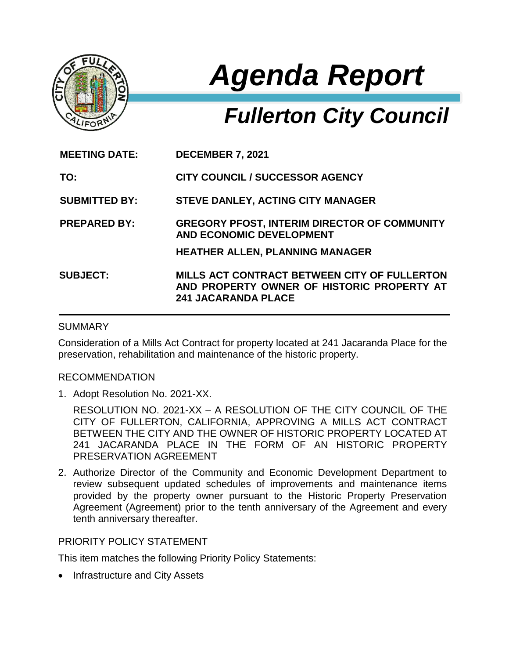

# *Agenda Report*

# *Fullerton City Council*

| <b>MEETING DATE:</b> | <b>DECEMBER 7, 2021</b>                                                                                                  |
|----------------------|--------------------------------------------------------------------------------------------------------------------------|
| TO:                  | <b>CITY COUNCIL / SUCCESSOR AGENCY</b>                                                                                   |
| <b>SUBMITTED BY:</b> | <b>STEVE DANLEY, ACTING CITY MANAGER</b>                                                                                 |
| <b>PREPARED BY:</b>  | <b>GREGORY PFOST, INTERIM DIRECTOR OF COMMUNITY</b><br><b>AND ECONOMIC DEVELOPMENT</b>                                   |
|                      | <b>HEATHER ALLEN, PLANNING MANAGER</b>                                                                                   |
| <b>SUBJECT:</b>      | MILLS ACT CONTRACT BETWEEN CITY OF FULLERTON<br>AND PROPERTY OWNER OF HISTORIC PROPERTY AT<br><b>241 JACARANDA PLACE</b> |

### SUMMARY

Consideration of a Mills Act Contract for property located at 241 Jacaranda Place for the preservation, rehabilitation and maintenance of the historic property.

#### RECOMMENDATION

1. Adopt Resolution No. 2021-XX.

RESOLUTION NO. 2021-XX – A RESOLUTION OF THE CITY COUNCIL OF THE CITY OF FULLERTON, CALIFORNIA, APPROVING A MILLS ACT CONTRACT BETWEEN THE CITY AND THE OWNER OF HISTORIC PROPERTY LOCATED AT 241 JACARANDA PLACE IN THE FORM OF AN HISTORIC PROPERTY PRESERVATION AGREEMENT

2. Authorize Director of the Community and Economic Development Department to review subsequent updated schedules of improvements and maintenance items provided by the property owner pursuant to the Historic Property Preservation Agreement (Agreement) prior to the tenth anniversary of the Agreement and every tenth anniversary thereafter.

# PRIORITY POLICY STATEMENT

This item matches the following Priority Policy Statements:

Infrastructure and City Assets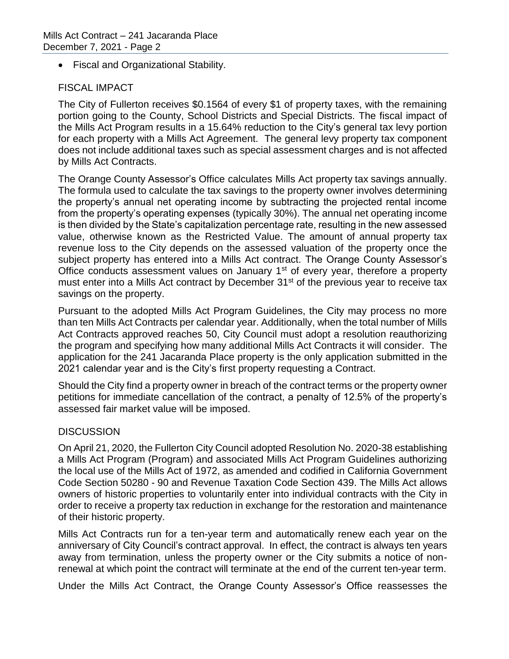Fiscal and Organizational Stability.

# FISCAL IMPACT

The City of Fullerton receives \$0.1564 of every \$1 of property taxes, with the remaining portion going to the County, School Districts and Special Districts. The fiscal impact of the Mills Act Program results in a 15.64% reduction to the City's general tax levy portion for each property with a Mills Act Agreement. The general levy property tax component does not include additional taxes such as special assessment charges and is not affected by Mills Act Contracts.

The Orange County Assessor's Office calculates Mills Act property tax savings annually. The formula used to calculate the tax savings to the property owner involves determining the property's annual net operating income by subtracting the projected rental income from the property's operating expenses (typically 30%). The annual net operating income is then divided by the State's capitalization percentage rate, resulting in the new assessed value, otherwise known as the Restricted Value. The amount of annual property tax revenue loss to the City depends on the assessed valuation of the property once the subject property has entered into a Mills Act contract. The Orange County Assessor's Office conducts assessment values on January 1<sup>st</sup> of every year, therefore a property must enter into a Mills Act contract by December 31<sup>st</sup> of the previous year to receive tax savings on the property.

Pursuant to the adopted Mills Act Program Guidelines, the City may process no more than ten Mills Act Contracts per calendar year. Additionally, when the total number of Mills Act Contracts approved reaches 50, City Council must adopt a resolution reauthorizing the program and specifying how many additional Mills Act Contracts it will consider. The application for the 241 Jacaranda Place property is the only application submitted in the 2021 calendar year and is the City's first property requesting a Contract.

Should the City find a property owner in breach of the contract terms or the property owner petitions for immediate cancellation of the contract, a penalty of 12.5% of the property's assessed fair market value will be imposed.

# **DISCUSSION**

On April 21, 2020, the Fullerton City Council adopted Resolution No. 2020-38 establishing a Mills Act Program (Program) and associated Mills Act Program Guidelines authorizing the local use of the Mills Act of 1972, as amended and codified in California Government Code Section 50280 - 90 and Revenue Taxation Code Section 439. The Mills Act allows owners of historic properties to voluntarily enter into individual contracts with the City in order to receive a property tax reduction in exchange for the restoration and maintenance of their historic property.

Mills Act Contracts run for a ten-year term and automatically renew each year on the anniversary of City Council's contract approval. In effect, the contract is always ten years away from termination, unless the property owner or the City submits a notice of nonrenewal at which point the contract will terminate at the end of the current ten-year term.

Under the Mills Act Contract, the Orange County Assessor's Office reassesses the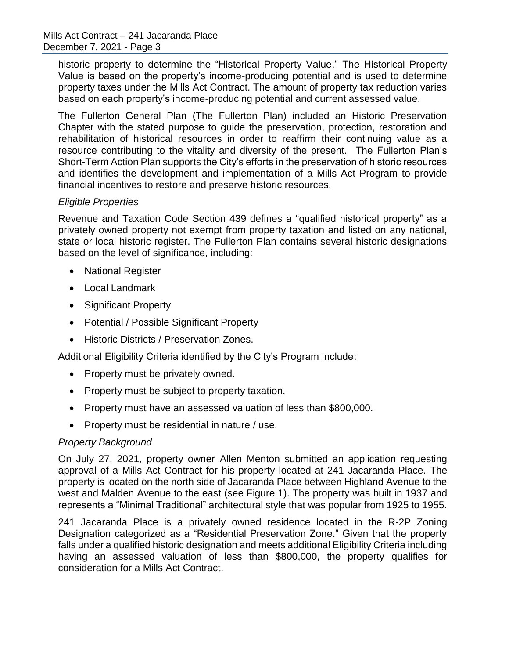historic property to determine the "Historical Property Value." The Historical Property Value is based on the property's income-producing potential and is used to determine property taxes under the Mills Act Contract. The amount of property tax reduction varies based on each property's income-producing potential and current assessed value.

The Fullerton General Plan (The Fullerton Plan) included an Historic Preservation Chapter with the stated purpose to guide the preservation, protection, restoration and rehabilitation of historical resources in order to reaffirm their continuing value as a resource contributing to the vitality and diversity of the present. The Fullerton Plan's Short-Term Action Plan supports the City's efforts in the preservation of historic resources and identifies the development and implementation of a Mills Act Program to provide financial incentives to restore and preserve historic resources.

#### *Eligible Properties*

Revenue and Taxation Code Section 439 defines a "qualified historical property" as a privately owned property not exempt from property taxation and listed on any national, state or local historic register. The Fullerton Plan contains several historic designations based on the level of significance, including:

- National Register
- Local Landmark
- Significant Property
- Potential / Possible Significant Property
- **Historic Districts / Preservation Zones.**

Additional Eligibility Criteria identified by the City's Program include:

- Property must be privately owned.
- Property must be subject to property taxation.
- Property must have an assessed valuation of less than \$800,000.
- Property must be residential in nature / use.

# *Property Background*

On July 27, 2021, property owner Allen Menton submitted an application requesting approval of a Mills Act Contract for his property located at 241 Jacaranda Place. The property is located on the north side of Jacaranda Place between Highland Avenue to the west and Malden Avenue to the east (see Figure 1). The property was built in 1937 and represents a "Minimal Traditional" architectural style that was popular from 1925 to 1955.

241 Jacaranda Place is a privately owned residence located in the R-2P Zoning Designation categorized as a "Residential Preservation Zone." Given that the property falls under a qualified historic designation and meets additional Eligibility Criteria including having an assessed valuation of less than \$800,000, the property qualifies for consideration for a Mills Act Contract.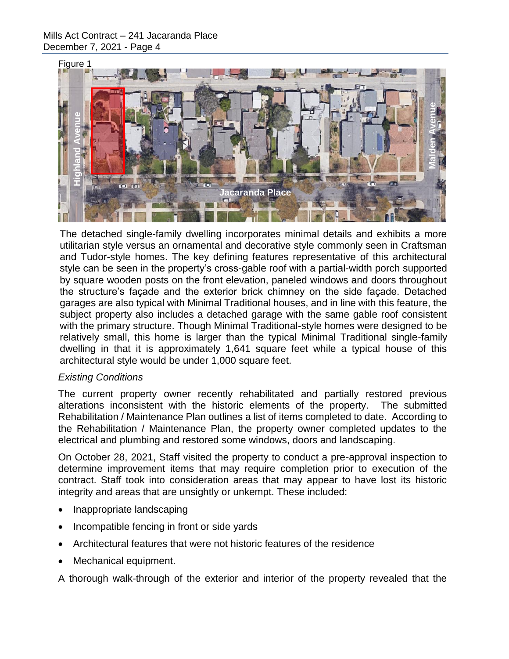

The detached single-family dwelling incorporates minimal details and exhibits a more utilitarian style versus an ornamental and decorative style commonly seen in Craftsman and Tudor-style homes. The key defining features representative of this architectural style can be seen in the property's cross-gable roof with a partial-width porch supported by square wooden posts on the front elevation, paneled windows and doors throughout the structure's façade and the exterior brick chimney on the side façade. Detached garages are also typical with Minimal Traditional houses, and in line with this feature, the subject property also includes a detached garage with the same gable roof consistent with the primary structure. Though Minimal Traditional-style homes were designed to be relatively small, this home is larger than the typical Minimal Traditional single-family dwelling in that it is approximately 1,641 square feet while a typical house of this architectural style would be under 1,000 square feet. The detected single-tend interior and the exterior and interior of the property of the exterior and the exterior and the exterior and the exterior and the exterior and the externe in the property constant that the property

#### *Existing Conditions*

The current property owner recently rehabilitated and partially restored previous alterations inconsistent with the historic elements of the property. The submitted Rehabilitation / Maintenance Plan outlines a list of items completed to date. According to the Rehabilitation / Maintenance Plan, the property owner completed updates to the electrical and plumbing and restored some windows, doors and landscaping.

On October 28, 2021, Staff visited the property to conduct a pre-approval inspection to determine improvement items that may require completion prior to execution of the contract. Staff took into consideration areas that may appear to have lost its historic integrity and areas that are unsightly or unkempt. These included:

- Inappropriate landscaping
- Incompatible fencing in front or side yards
- Architectural features that were not historic features of the residence
- Mechanical equipment.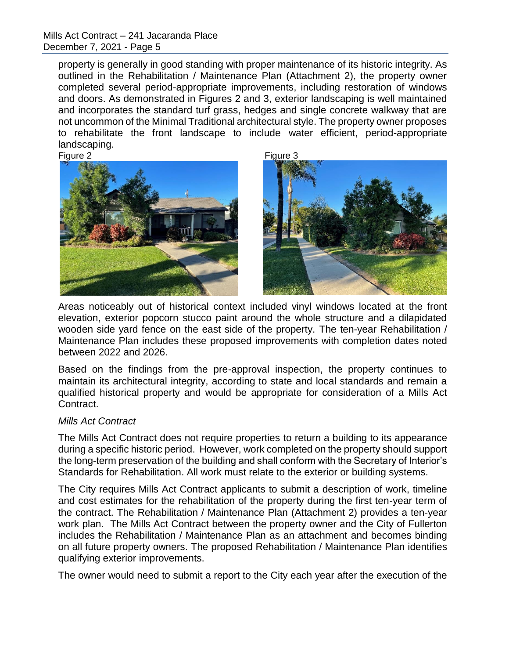Mills Act Contract – 241 Jacaranda Place December 7, 2021 - Page 5

property is generally in good standing with proper maintenance of its historic integrity. As outlined in the Rehabilitation / Maintenance Plan (Attachment 2), the property owner completed several period-appropriate improvements, including restoration of windows and doors. As demonstrated in Figures 2 and 3, exterior landscaping is well maintained and incorporates the standard turf grass, hedges and single concrete walkway that are not uncommon of the Minimal Traditional architectural style. The property owner proposes to rehabilitate the front landscape to include water efficient, period-appropriate landscaping.

Figure 2 Figure 3





Areas noticeably out of historical context included vinyl windows located at the front elevation, exterior popcorn stucco paint around the whole structure and a dilapidated wooden side yard fence on the east side of the property. The ten-year Rehabilitation / Maintenance Plan includes these proposed improvements with completion dates noted between 2022 and 2026.

Based on the findings from the pre-approval inspection, the property continues to maintain its architectural integrity, according to state and local standards and remain a qualified historical property and would be appropriate for consideration of a Mills Act Contract.

#### *Mills Act Contract*

The Mills Act Contract does not require properties to return a building to its appearance during a specific historic period. However, work completed on the property should support the long-term preservation of the building and shall conform with the Secretary of Interior's Standards for Rehabilitation. All work must relate to the exterior or building systems.

The City requires Mills Act Contract applicants to submit a description of work, timeline and cost estimates for the rehabilitation of the property during the first ten-year term of the contract. The Rehabilitation / Maintenance Plan (Attachment 2) provides a ten-year work plan. The Mills Act Contract between the property owner and the City of Fullerton includes the Rehabilitation / Maintenance Plan as an attachment and becomes binding on all future property owners. The proposed Rehabilitation / Maintenance Plan identifies qualifying exterior improvements.

The owner would need to submit a report to the City each year after the execution of the